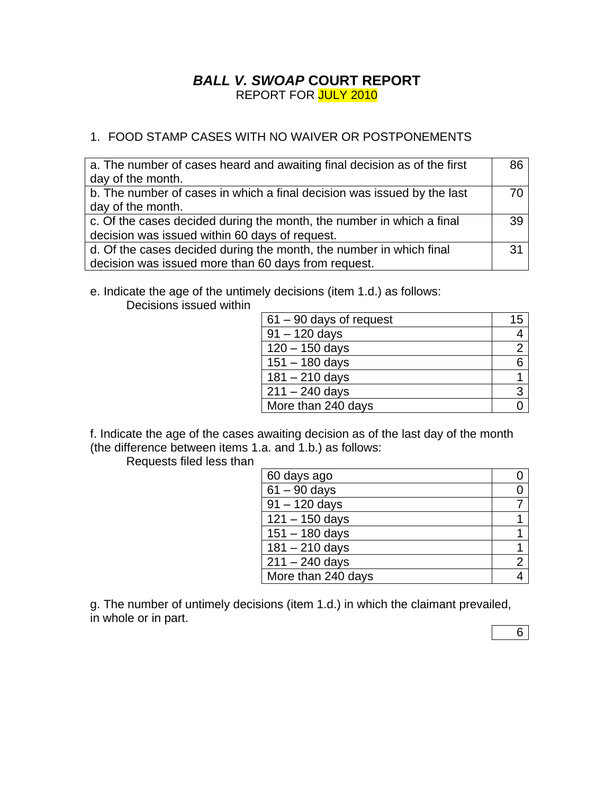## *BALL V. SWOAP* **COURT REPORT** REPORT FOR JULY 2010

## 1. FOOD STAMP CASES WITH NO WAIVER OR POSTPONEMENTS

| a. The number of cases heard and awaiting final decision as of the first | 86 |
|--------------------------------------------------------------------------|----|
| day of the month.                                                        |    |
| b. The number of cases in which a final decision was issued by the last  | 70 |
| day of the month.                                                        |    |
| c. Of the cases decided during the month, the number in which a final    | 39 |
| decision was issued within 60 days of request.                           |    |
| d. Of the cases decided during the month, the number in which final      | 31 |
| decision was issued more than 60 days from request.                      |    |

e. Indicate the age of the untimely decisions (item 1.d.) as follows:

Decisions issued within

| $61 - 90$ days of request | 15 |
|---------------------------|----|
| $91 - 120$ days           |    |
| $120 - 150$ days          |    |
| $151 - 180$ days          | 6  |
| $181 - 210$ days          |    |
| $211 - 240$ days          | 3  |
| More than 240 days        |    |

f. Indicate the age of the cases awaiting decision as of the last day of the month (the difference between items 1.a. and 1.b.) as follows:

Requests filed less than

| 60 days ago                |                |
|----------------------------|----------------|
| $61 - 90$ days             |                |
| $\overline{9}1 - 120$ days |                |
| $121 - 150$ days           |                |
| $151 - 180$ days           |                |
| $181 - 210$ days           |                |
| $211 - 240$ days           | $\overline{2}$ |
| More than 240 days         |                |

g. The number of untimely decisions (item 1.d.) in which the claimant prevailed, in whole or in part.

6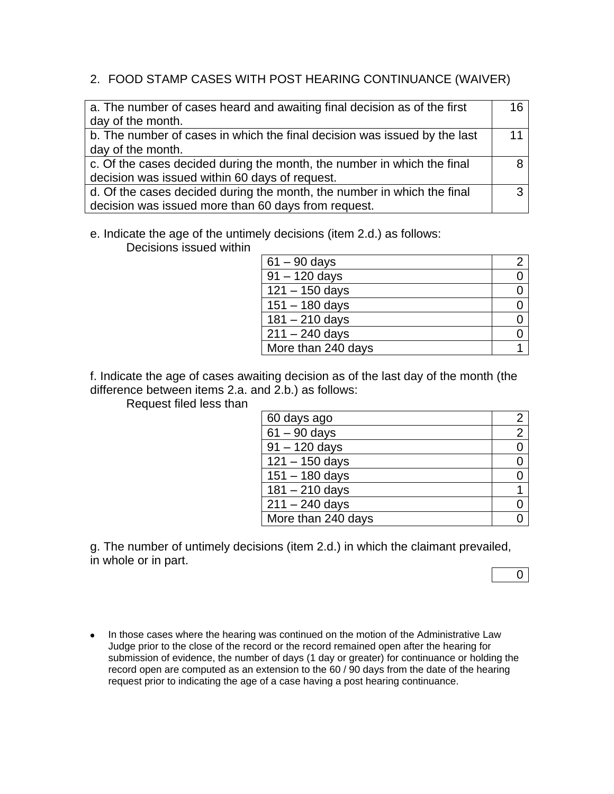## 2. FOOD STAMP CASES WITH POST HEARING CONTINUANCE (WAIVER)

| a. The number of cases heard and awaiting final decision as of the first  | 16 |
|---------------------------------------------------------------------------|----|
| day of the month.                                                         |    |
| b. The number of cases in which the final decision was issued by the last | 11 |
| day of the month.                                                         |    |
| c. Of the cases decided during the month, the number in which the final   |    |
| decision was issued within 60 days of request.                            |    |
| d. Of the cases decided during the month, the number in which the final   | ્ર |
| decision was issued more than 60 days from request.                       |    |

e. Indicate the age of the untimely decisions (item 2.d.) as follows:

Decisions issued within

| $61 - 90$ days     |  |
|--------------------|--|
| $91 - 120$ days    |  |
| $121 - 150$ days   |  |
| $151 - 180$ days   |  |
| $181 - 210$ days   |  |
| $211 - 240$ days   |  |
| More than 240 days |  |

f. Indicate the age of cases awaiting decision as of the last day of the month (the difference between items 2.a. and 2.b.) as follows:

Request filed less than

| 60 days ago        |                |
|--------------------|----------------|
| $61 - 90$ days     | $\overline{2}$ |
| $91 - 120$ days    |                |
| $121 - 150$ days   |                |
| $151 - 180$ days   |                |
| $181 - 210$ days   |                |
| $211 - 240$ days   |                |
| More than 240 days |                |

g. The number of untimely decisions (item 2.d.) in which the claimant prevailed, in whole or in part.

 $\overline{0}$ 

• In those cases where the hearing was continued on the motion of the Administrative Law Judge prior to the close of the record or the record remained open after the hearing for submission of evidence, the number of days (1 day or greater) for continuance or holding the record open are computed as an extension to the 60 / 90 days from the date of the hearing request prior to indicating the age of a case having a post hearing continuance.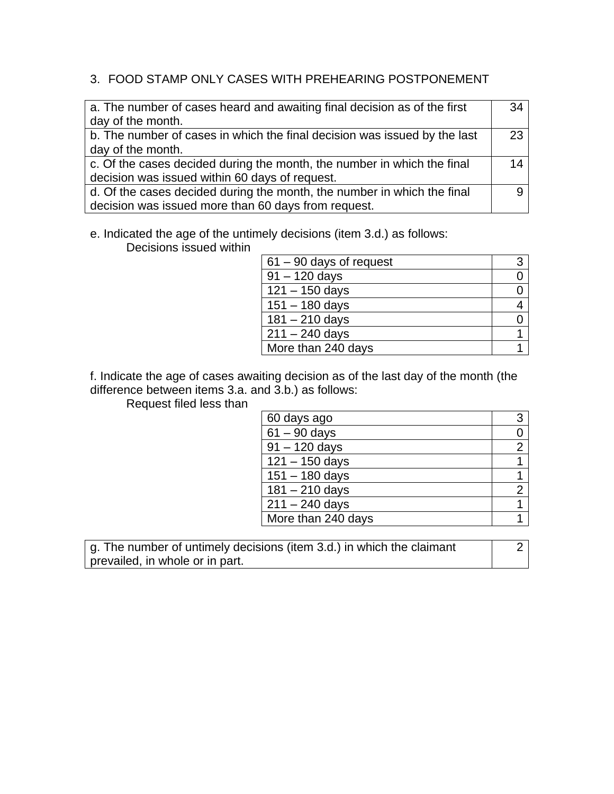## 3. FOOD STAMP ONLY CASES WITH PREHEARING POSTPONEMENT

| a. The number of cases heard and awaiting final decision as of the first  | 34 |
|---------------------------------------------------------------------------|----|
| day of the month.                                                         |    |
| b. The number of cases in which the final decision was issued by the last | 23 |
| day of the month.                                                         |    |
| c. Of the cases decided during the month, the number in which the final   | 14 |
| decision was issued within 60 days of request.                            |    |
| d. Of the cases decided during the month, the number in which the final   |    |
| decision was issued more than 60 days from request.                       |    |

e. Indicated the age of the untimely decisions (item 3.d.) as follows:

Decisions issued within

| $61 - 90$ days of request |  |
|---------------------------|--|
| $91 - 120$ days           |  |
| $121 - 150$ days          |  |
| $151 - 180$ days          |  |
| $181 - 210$ days          |  |
| $211 - 240$ days          |  |
| More than 240 days        |  |

f. Indicate the age of cases awaiting decision as of the last day of the month (the difference between items 3.a. and 3.b.) as follows:

Request filed less than

| 60 days ago        | 3              |
|--------------------|----------------|
| $61 - 90$ days     |                |
| $91 - 120$ days    | $\overline{2}$ |
| $121 - 150$ days   |                |
| $151 - 180$ days   |                |
| $181 - 210$ days   | 2              |
| $211 - 240$ days   |                |
| More than 240 days |                |

g. The number of untimely decisions (item 3.d.) in which the claimant prevailed, in whole or in part.

2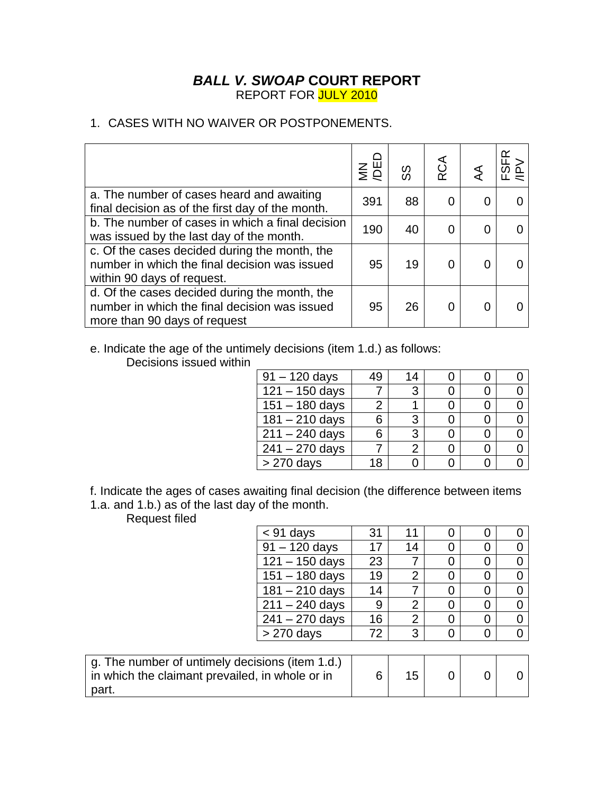## *BALL V. SWOAP* **COURT REPORT** REPORT FOR JULY 2010

## 1. CASES WITH NO WAIVER OR POSTPONEMENTS.

|                                                                                                                                | $\S$ $\S$ $\S$ | တ္တ | RCA |   | Y |
|--------------------------------------------------------------------------------------------------------------------------------|----------------|-----|-----|---|---|
| a. The number of cases heard and awaiting<br>final decision as of the first day of the month.                                  | 391            | 88  |     |   |   |
| b. The number of cases in which a final decision<br>was issued by the last day of the month.                                   | 190            | 40  | ∩   | 0 |   |
| c. Of the cases decided during the month, the<br>number in which the final decision was issued<br>within 90 days of request.   | 95             | 19  |     |   |   |
| d. Of the cases decided during the month, the<br>number in which the final decision was issued<br>more than 90 days of request | 95             | 26  |     |   |   |

e. Indicate the age of the untimely decisions (item 1.d.) as follows:

Decisions issued within

| $91 - 120$ days  | 49 | 14 |  |  |
|------------------|----|----|--|--|
| $121 - 150$ days |    | २  |  |  |
| $151 - 180$ days |    |    |  |  |
| $181 - 210$ days | 6  |    |  |  |
| $211 - 240$ days | 6  | 3  |  |  |
| $241 - 270$ days |    | 2  |  |  |
| $> 270$ days     | 18 |    |  |  |

f. Indicate the ages of cases awaiting final decision (the difference between items 1.a. and 1.b.) as of the last day of the month.

Request filed

part.

| <b>IVENNEST IIIEN</b>                           |                  |    |                |   |                |
|-------------------------------------------------|------------------|----|----------------|---|----------------|
|                                                 | $<$ 91 days      | 31 | 11             | O | 0              |
|                                                 | $91 - 120$ days  | 17 | 14             | 0 | 0              |
|                                                 | $121 - 150$ days | 23 |                | 0 | 0              |
|                                                 | $151 - 180$ days | 19 | $\overline{2}$ | 0 | $\overline{0}$ |
|                                                 | $181 - 210$ days | 14 |                | 0 | $\overline{0}$ |
|                                                 | $211 - 240$ days | 9  | $\overline{2}$ | 0 | $\overline{0}$ |
|                                                 | $241 - 270$ days | 16 | $\overline{2}$ | 0 | $\overline{0}$ |
|                                                 | $> 270$ days     | 72 | 3              | 0 | $\overline{0}$ |
|                                                 |                  |    |                |   |                |
| g. The number of untimely decisions (item 1.d.) |                  |    |                |   |                |
| in which the claimant prevailed, in whole or in |                  | 6  | 15             |   |                |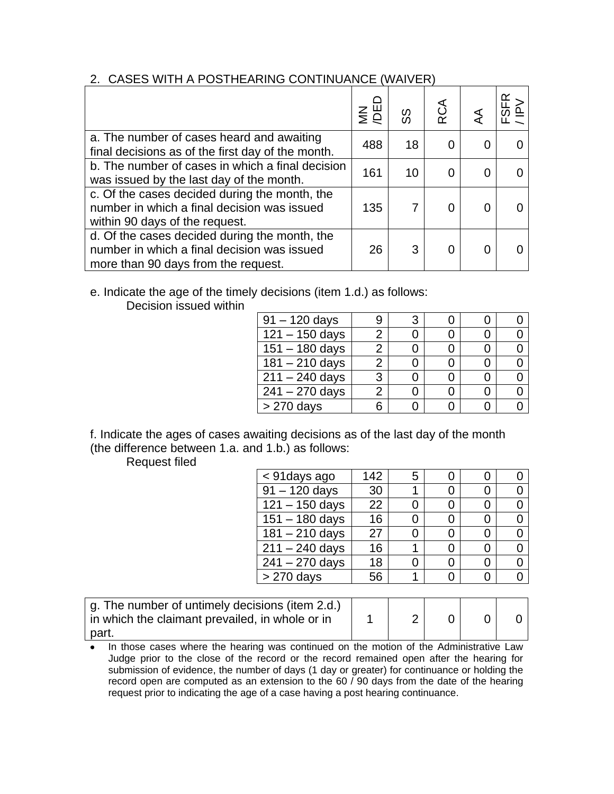### 2. CASES WITH A POSTHEARING CONTINUANCE (WAIVER)

|                                                                                                                                     | $rac{1}{2}$ | တ္တ | RCA | Y |
|-------------------------------------------------------------------------------------------------------------------------------------|-------------|-----|-----|---|
| a. The number of cases heard and awaiting<br>final decisions as of the first day of the month.                                      | 488         | 18  |     |   |
| b. The number of cases in which a final decision<br>was issued by the last day of the month.                                        | 161         | 10  |     |   |
| c. Of the cases decided during the month, the<br>number in which a final decision was issued<br>within 90 days of the request.      | 135         |     |     |   |
| d. Of the cases decided during the month, the<br>number in which a final decision was issued<br>more than 90 days from the request. | 26          | 3   |     |   |

# e. Indicate the age of the timely decisions (item 1.d.) as follows:

Decision issued within

| $91 - 120$ days         |   |  |  |
|-------------------------|---|--|--|
| $121 - 150$ days        |   |  |  |
| $151 - 180$ days        | 2 |  |  |
| $181 - 210$ days        | 2 |  |  |
| $\sqrt{211} - 240$ days | 3 |  |  |
| $241 - 270$ days        | 2 |  |  |
| > 270 days              |   |  |  |

f. Indicate the ages of cases awaiting decisions as of the last day of the month (the difference between 1.a. and 1.b.) as follows:

Request filed

| < 91 days ago    | 142 | 5 |  |  |
|------------------|-----|---|--|--|
| $91 - 120$ days  | 30  |   |  |  |
| $121 - 150$ days | 22  |   |  |  |
| $151 - 180$ days | 16  |   |  |  |
| $181 - 210$ days | 27  |   |  |  |
| $211 - 240$ days | 16  |   |  |  |
| $241 - 270$ days | 18  |   |  |  |
| > 270 days       | 56  |   |  |  |

| g. The number of untimely decisions (item 2.d.)<br>in which the claimant prevailed, in whole or in |  |  |  |
|----------------------------------------------------------------------------------------------------|--|--|--|
| part.                                                                                              |  |  |  |

In those cases where the hearing was continued on the motion of the Administrative Law Judge prior to the close of the record or the record remained open after the hearing for submission of evidence, the number of days (1 day or greater) for continuance or holding the record open are computed as an extension to the 60 / 90 days from the date of the hearing request prior to indicating the age of a case having a post hearing continuance.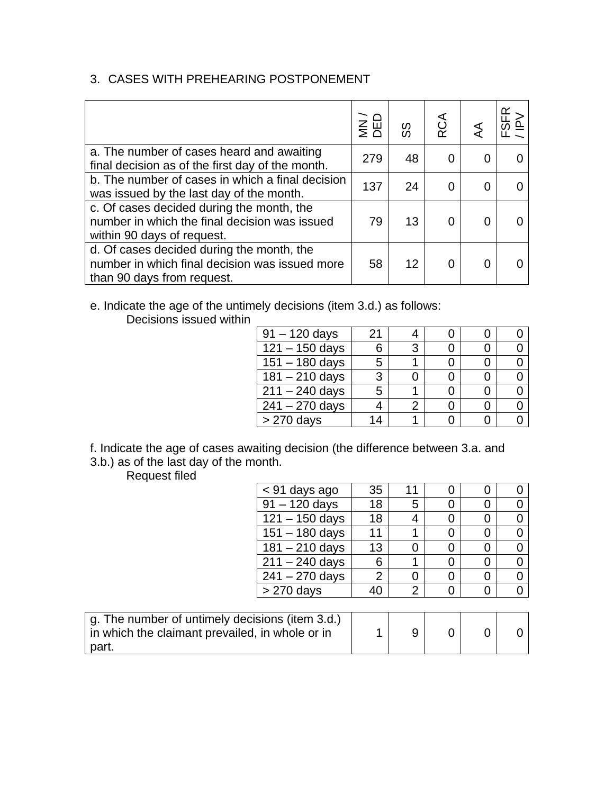# 3. CASES WITH PREHEARING POSTPONEMENT

|                                                                                                                           | $\leq \Xi$ | တ္တ | RCA |   |  |
|---------------------------------------------------------------------------------------------------------------------------|------------|-----|-----|---|--|
| a. The number of cases heard and awaiting<br>final decision as of the first day of the month.                             | 279        | 48  |     | 0 |  |
| b. The number of cases in which a final decision<br>was issued by the last day of the month.                              | 137        | 24  |     | O |  |
| c. Of cases decided during the month, the<br>number in which the final decision was issued<br>within 90 days of request.  | 79         | 13  |     |   |  |
| d. Of cases decided during the month, the<br>number in which final decision was issued more<br>than 90 days from request. | 58         | 12  |     |   |  |

e. Indicate the age of the untimely decisions (item 3.d.) as follows:

Decisions issued within

| $91 - 120$ days             | 21 |   |  |  |
|-----------------------------|----|---|--|--|
| $\overline{121} - 150$ days | 6  | 3 |  |  |
| $151 - 180$ days            | 5  |   |  |  |
| $181 - 210$ days            | 3  |   |  |  |
| $211 - 240$ days            | 5  |   |  |  |
| $\sqrt{241} - 270$ days     |    |   |  |  |
| $> 270$ days                |    |   |  |  |

f. Indicate the age of cases awaiting decision (the difference between 3.a. and 3.b.) as of the last day of the month.

Request filed

| < 91 days ago               | 35 |   |  |  |
|-----------------------------|----|---|--|--|
| $91 - 120$ days             | 18 | 5 |  |  |
| $121 - 150$ days            | 18 |   |  |  |
| $151 - 180$ days            |    |   |  |  |
| $\overline{181} - 210$ days | 13 |   |  |  |
| $211 - 240$ days            | 6  |   |  |  |
| $\sqrt{241} - 270$ days     | 2  |   |  |  |
| > 270 days                  |    |   |  |  |
|                             |    |   |  |  |

| g. The number of untimely decisions (item 3.d.)<br>in which the claimant prevailed, in whole or in |  |  |  |
|----------------------------------------------------------------------------------------------------|--|--|--|
| part.                                                                                              |  |  |  |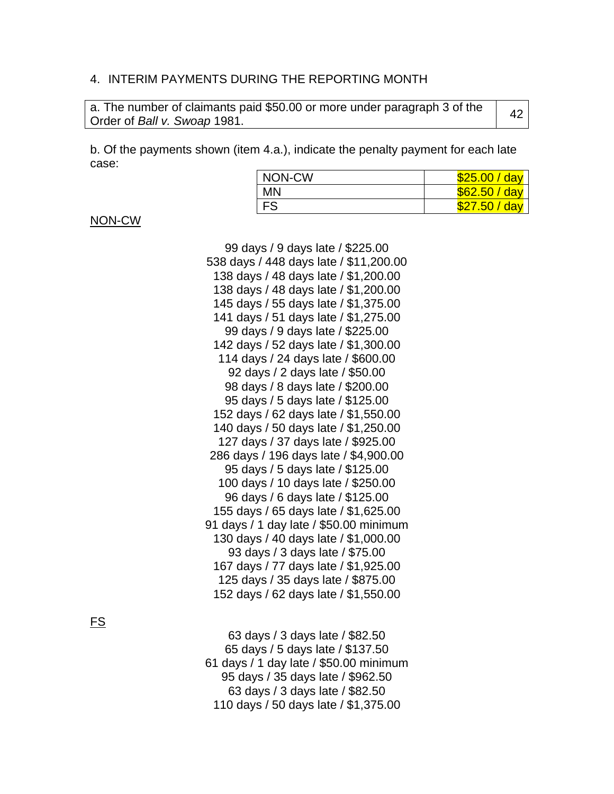#### 4. INTERIM PAYMENTS DURING THE REPORTING MONTH

| a. The number of claimants paid \$50.00 or more under paragraph 3 of the | 42 |
|--------------------------------------------------------------------------|----|
| Order of Ball v. Swoap 1981.                                             |    |

b. Of the payments shown (item 4.a.), indicate the penalty payment for each late case:

| NON-CW    | \$25.00 / day |
|-----------|---------------|
| MN        | \$62.50 / day |
| <b>FS</b> | \$27.50 / day |

NON-CW

 days / 9 days late / \$225.00 days / 448 days late / \$11,200.00 days / 48 days late / \$1,200.00 days / 48 days late / \$1,200.00 days / 55 days late / \$1,375.00 days / 51 days late / \$1,275.00 days / 9 days late / \$225.00 days / 52 days late / \$1,300.00 days / 24 days late / \$600.00 days / 2 days late / \$50.00 days / 8 days late / \$200.00 days / 5 days late / \$125.00 days / 62 days late / \$1,550.00 days / 50 days late / \$1,250.00 days / 37 days late / \$925.00 days / 196 days late / \$4,900.00 days / 5 days late / \$125.00 days / 10 days late / \$250.00 days / 6 days late / \$125.00 days / 65 days late / \$1,625.00 days / 1 day late / \$50.00 minimum days / 40 days late / \$1,000.00 days / 3 days late / \$75.00 days / 77 days late / \$1,925.00 days / 35 days late / \$875.00 days / 62 days late / \$1,550.00

FS

 days / 3 days late / \$82.50 days / 5 days late / \$137.50 days / 1 day late / \$50.00 minimum days / 35 days late / \$962.50 days / 3 days late / \$82.50 days / 50 days late / \$1,375.00